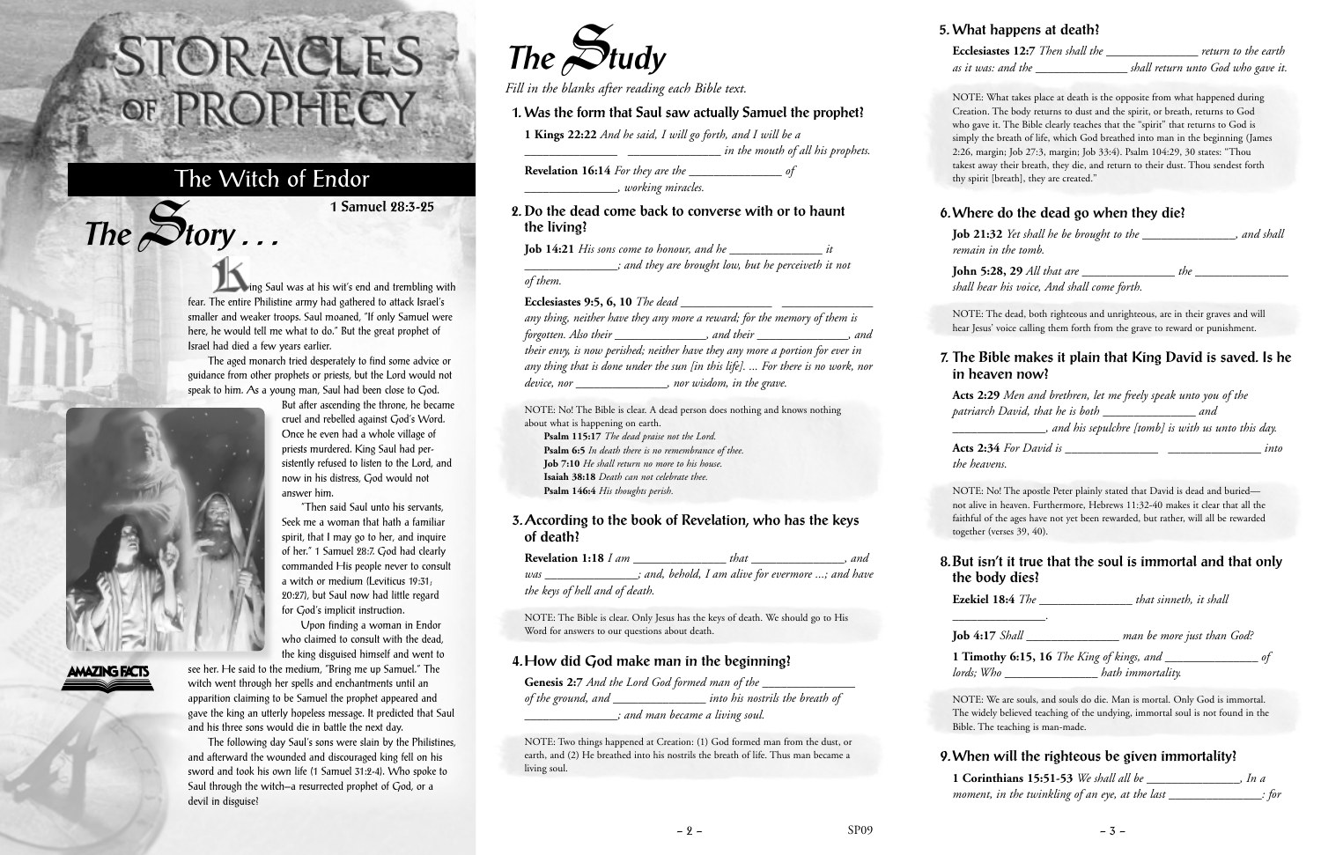ing Saul was at his wit's end and trembling with fear. The entire Philistine army had gathered to attack Israel's smaller and weaker troops. Saul moaned, "If only Samuel were here, he would tell me what to do." But the great prophet of Israel had died a few years earlier.

The aged monarch tried desperately to find some advice or guidance from other prophets or priests, but the Lord would not speak to him. As a young man, Saul had been close to God.

"Then said Saul unto his servants,



 $The$  $S$ **tory** ...

## **AMAZING FACTS**

Upon finding a woman in Endor

see her. He said to the medium, "Bring me up Samuel." The witch went through her spells and enchantments until an apparition claiming to be Samuel the prophet appeared and gave the king an utterly hopeless message. It predicted that Saul and his three sons would die in battle the next day.

The following day Saul's sons were slain by the Philistines, and afterward the wounded and discouraged king fell on his sword and took his own life (1 Samuel 31:2-4). Who spoke to Saul through the witch—a resurrected prophet of God, or a devil in disguise?

# STORACLES -OF PROPHECY

# The Witch of Endor

**1 Samuel 28:3-25**



*Fill in the blanks after reading each Bible text.*

### **1. Was the form that Saul saw actually Samuel the prophet?**

**1 Kings 22:22** *And he said, I will go forth, and I will be a*

*\_\_\_\_\_\_\_\_\_\_\_\_\_\_\_ \_\_\_\_\_\_\_\_\_\_\_\_\_\_\_ in the mouth of all his prophets.* **Revelation 16:14** *For they are the \_\_\_\_\_\_\_\_\_\_\_\_\_\_\_ of*

*\_\_\_\_\_\_\_\_\_\_\_\_\_\_\_, working miracles.*

#### **2. Do the dead come back to converse with or to haunt the living?**

**Job 14:21** *His sons come to honour, and he \_\_\_\_\_\_\_\_\_\_\_\_\_\_\_ it*

#### *\_\_\_\_\_\_\_\_\_\_\_\_\_\_\_; and they are brought low, but he perceiveth it not of them.*

#### **Ecclesiastes 9:5, 6, 10** *The dead \_\_\_\_\_\_\_\_\_\_\_\_\_\_\_ \_\_\_\_\_\_\_\_\_\_\_\_\_\_\_*

*any thing, neither have they any more a reward; for the memory of them is forgotten. Also their \_\_\_\_\_\_\_\_\_\_\_\_\_\_\_, and their \_\_\_\_\_\_\_\_\_\_\_\_\_\_\_, and their envy, is now perished; neither have they any more a portion for ever in any thing that is done under the sun [in this life]. ... For there is no work, nor device, nor \_\_\_\_\_\_\_\_\_\_\_\_\_\_\_, nor wisdom, in the grave.*

NOTE: No! The Bible is clear. A dead person does nothing and knows nothing about what is happening on earth.

**Psalm 115:17** *The dead praise not the Lord.* **Psalm 6:5** *In death there is no remembrance of thee.* **Job 7:10** *He shall return no more to his house.* **Isaiah 38:18** *Death can not celebrate thee.* **Psalm 146:4** *His thoughts perish.*

#### **3. According to the book of Revelation, who has the keys of death?**

| Revelation 1:18 I am           |  | that | and                                               |  |
|--------------------------------|--|------|---------------------------------------------------|--|
| was                            |  |      | ; and, behold, I am alive for evermore ; and have |  |
| the keys of hell and of death. |  |      |                                                   |  |

NOTE: The Bible is clear. Only Jesus has the keys of death. We should go to His Word for answers to our questions about death.

#### **4. How did God make man in the beginning?**

| <b>Genesis 2:7</b> And the Lord God formed man of the |                                 |
|-------------------------------------------------------|---------------------------------|
| of the ground, and J                                  | into his nostrils the breath of |
| ; and man became a living soul.                       |                                 |

NOTE: Two things happened at Creation: (1) God formed man from the dust, or earth, and (2) He breathed into his nostrils the breath of life. Thus man became a living soul.

#### **5. What happens at death?**

**Ecclesiastes 12:7** *Then shall the \_\_\_\_\_\_\_\_\_\_\_\_\_\_\_ return to the earth as it was: and the \_\_\_\_\_\_\_\_\_\_\_\_\_\_\_ shall return unto God who gave it.*

NOTE: What takes place at death is the opposite from what happened during Creation. The body returns to dust and the spirit, or breath, returns to God who gave it. The Bible clearly teaches that the "spirit" that returns to God is simply the breath of life, which God breathed into man in the beginning (James 2:26, margin; Job 27:3, margin; Job 33:4). Psalm 104:29, 30 states: "Thou takest away their breath, they die, and return to their dust. Thou sendest forth thy spirit [breath], they are created."

### **6. Where do the dead go when they die?**

**Job 21:32** *Yet shall he be brought to the \_\_\_\_\_\_\_\_\_\_\_\_\_\_\_, and shall remain in the tomb.*

**John 5:28, 29** *All that are \_\_\_\_\_\_\_\_\_\_\_\_\_\_\_ the \_\_\_\_\_\_\_\_\_\_\_\_\_\_\_ shall hear his voice, And shall come forth.*

NOTE: The dead, both righteous and unrighteous, are in their graves and will hear Jesus' voice calling them forth from the grave to reward or punishment.

### **7. The Bible makes it plain that King David is saved. Is he in heaven now?**

**Acts 2:29** *Men and brethren, let me freely speak unto you of the patriarch David, that he is both \_\_\_\_\_\_\_\_\_\_\_\_\_\_\_ and \_\_\_\_\_\_\_\_\_\_\_\_\_\_\_, and his sepulchre [tomb] is with us unto this day.*

**Acts 2:34** *For David is \_\_\_\_\_\_\_\_\_\_\_\_\_\_\_ \_\_\_\_\_\_\_\_\_\_\_\_\_\_\_ into the heavens.*

NOTE: No! The apostle Peter plainly stated that David is dead and buried not alive in heaven. Furthermore, Hebrews 11:32-40 makes it clear that all the faithful of the ages have not yet been rewarded, but rather, will all be rewarded together (verses 39, 40).

### **8. But isn't it true that the soul is immortal and that only the body dies?**

**Ezekiel 18:4** *The \_\_\_\_\_\_\_\_\_\_\_\_\_\_\_ that sinneth, it shall \_\_\_\_\_\_\_\_\_\_\_\_\_\_\_.*

**Job 4:17** *Shall \_\_\_\_\_\_\_\_\_\_\_\_\_\_\_ man be more just than God?*

**1 Timothy 6:15, 16** *The King of kings, and \_\_\_\_\_\_\_\_\_\_\_\_\_\_\_ of lords; Who \_\_\_\_\_\_\_\_\_\_\_\_\_\_\_ hath immortality.*

NOTE: We are souls, and souls do die. Man is mortal. Only God is immortal. The widely believed teaching of the undying, immortal soul is not found in the Bible. The teaching is man-made.

**9. When will the righteous be given immortality? 1 Corinthians 15:51-53** *We shall all be \_\_\_\_\_\_\_\_\_\_\_\_\_\_\_, In a moment, in the twinkling of an eye, at the last \_\_\_\_\_\_\_\_\_\_\_\_\_\_\_: for*